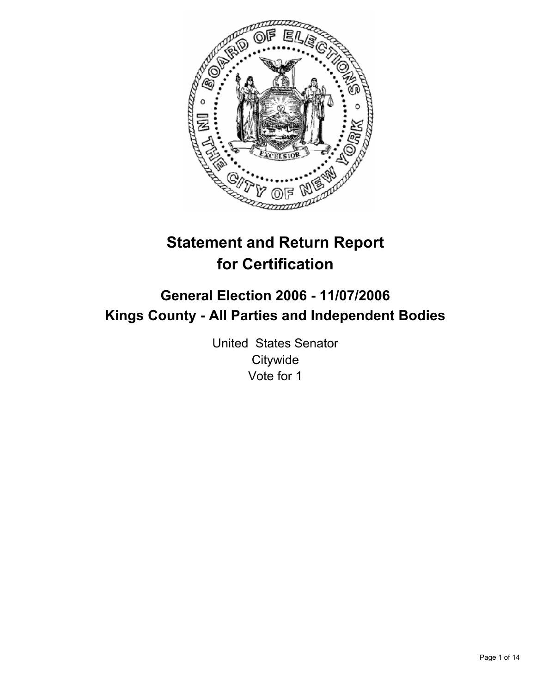

# **Statement and Return Report for Certification**

# **General Election 2006 - 11/07/2006 Kings County - All Parties and Independent Bodies**

United States Senator **Citywide** Vote for 1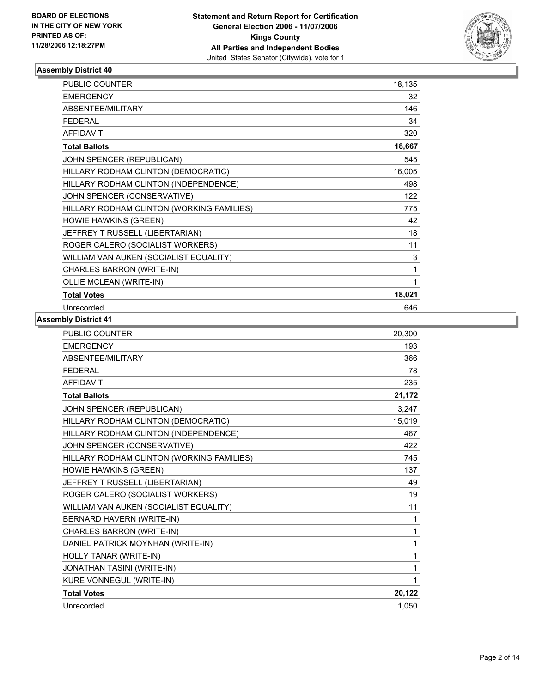

| PUBLIC COUNTER                            | 18,135      |
|-------------------------------------------|-------------|
| <b>EMERGENCY</b>                          | 32          |
| ABSENTEE/MILITARY                         | 146         |
| <b>FEDERAL</b>                            | 34          |
| <b>AFFIDAVIT</b>                          | 320         |
| <b>Total Ballots</b>                      | 18,667      |
| JOHN SPENCER (REPUBLICAN)                 | 545         |
| HILLARY RODHAM CLINTON (DEMOCRATIC)       | 16,005      |
| HILLARY RODHAM CLINTON (INDEPENDENCE)     | 498         |
| JOHN SPENCER (CONSERVATIVE)               | 122         |
| HILLARY RODHAM CLINTON (WORKING FAMILIES) | 775         |
| HOWIE HAWKINS (GREEN)                     | 42          |
| JEFFREY T RUSSELL (LIBERTARIAN)           | 18          |
| ROGER CALERO (SOCIALIST WORKERS)          | 11          |
| WILLIAM VAN AUKEN (SOCIALIST EQUALITY)    | $\mathsf 3$ |
| CHARLES BARRON (WRITE-IN)                 | 1           |
| OLLIE MCLEAN (WRITE-IN)                   |             |
| <b>Total Votes</b>                        | 18,021      |
| Unrecorded                                | 646         |

| <b>PUBLIC COUNTER</b>                     | 20,300 |
|-------------------------------------------|--------|
| <b>EMERGENCY</b>                          | 193    |
| ABSENTEE/MILITARY                         | 366    |
| <b>FEDERAL</b>                            | 78     |
| <b>AFFIDAVIT</b>                          | 235    |
| <b>Total Ballots</b>                      | 21,172 |
| JOHN SPENCER (REPUBLICAN)                 | 3,247  |
| HILLARY RODHAM CLINTON (DEMOCRATIC)       | 15,019 |
| HILLARY RODHAM CLINTON (INDEPENDENCE)     | 467    |
| JOHN SPENCER (CONSERVATIVE)               | 422    |
| HILLARY RODHAM CLINTON (WORKING FAMILIES) | 745    |
| HOWIE HAWKINS (GREEN)                     | 137    |
| JEFFREY T RUSSELL (LIBERTARIAN)           | 49     |
| ROGER CALERO (SOCIALIST WORKERS)          | 19     |
| WILLIAM VAN AUKEN (SOCIALIST EQUALITY)    | 11     |
| BERNARD HAVERN (WRITE-IN)                 | 1      |
| CHARLES BARRON (WRITE-IN)                 | 1      |
| DANIEL PATRICK MOYNHAN (WRITE-IN)         | 1      |
| HOLLY TANAR (WRITE-IN)                    | 1      |
| JONATHAN TASINI (WRITE-IN)                | 1      |
| KURE VONNEGUL (WRITE-IN)                  | 1      |
| <b>Total Votes</b>                        | 20,122 |
| Unrecorded                                | 1,050  |
|                                           |        |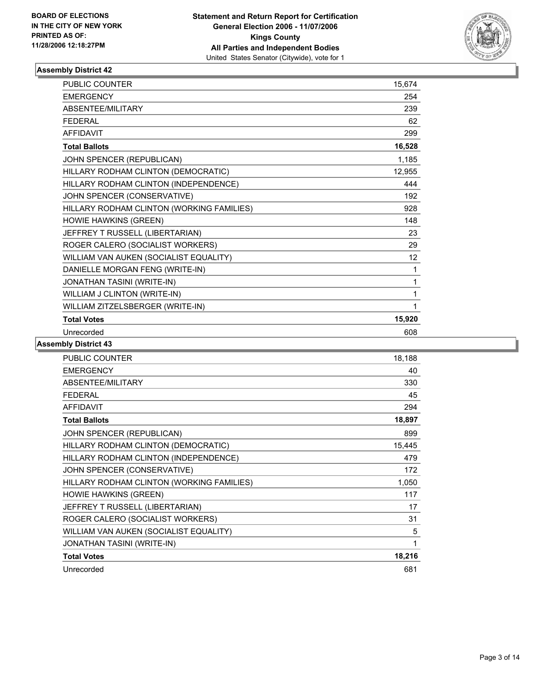

| <b>PUBLIC COUNTER</b>                     | 15,674          |
|-------------------------------------------|-----------------|
| <b>EMERGENCY</b>                          | 254             |
| ABSENTEE/MILITARY                         | 239             |
| <b>FEDERAL</b>                            | 62              |
| <b>AFFIDAVIT</b>                          | 299             |
| <b>Total Ballots</b>                      | 16,528          |
| JOHN SPENCER (REPUBLICAN)                 | 1,185           |
| HILLARY RODHAM CLINTON (DEMOCRATIC)       | 12,955          |
| HILLARY RODHAM CLINTON (INDEPENDENCE)     | 444             |
| JOHN SPENCER (CONSERVATIVE)               | 192             |
| HILLARY RODHAM CLINTON (WORKING FAMILIES) | 928             |
| HOWIE HAWKINS (GREEN)                     | 148             |
| JEFFREY T RUSSELL (LIBERTARIAN)           | 23              |
| ROGER CALERO (SOCIALIST WORKERS)          | 29              |
| WILLIAM VAN AUKEN (SOCIALIST EQUALITY)    | 12 <sub>2</sub> |
| DANIELLE MORGAN FENG (WRITE-IN)           | 1               |
| JONATHAN TASINI (WRITE-IN)                |                 |
| WILLIAM J CLINTON (WRITE-IN)              | 1               |
| WILLIAM ZITZELSBERGER (WRITE-IN)          | 1               |
| <b>Total Votes</b>                        | 15,920          |
| Unrecorded                                | 608             |

| PUBLIC COUNTER                            | 18,188 |
|-------------------------------------------|--------|
| <b>EMERGENCY</b>                          | 40     |
| ABSENTEE/MILITARY                         | 330    |
| <b>FEDERAL</b>                            | 45     |
| <b>AFFIDAVIT</b>                          | 294    |
| <b>Total Ballots</b>                      | 18,897 |
| JOHN SPENCER (REPUBLICAN)                 | 899    |
| HILLARY RODHAM CLINTON (DEMOCRATIC)       | 15,445 |
| HILLARY RODHAM CLINTON (INDEPENDENCE)     | 479    |
| JOHN SPENCER (CONSERVATIVE)               | 172    |
| HILLARY RODHAM CLINTON (WORKING FAMILIES) | 1,050  |
| <b>HOWIE HAWKINS (GREEN)</b>              | 117    |
| JEFFREY T RUSSELL (LIBERTARIAN)           | 17     |
| ROGER CALERO (SOCIALIST WORKERS)          | 31     |
| WILLIAM VAN AUKEN (SOCIALIST EQUALITY)    | 5      |
| JONATHAN TASINI (WRITE-IN)                | 1      |
| <b>Total Votes</b>                        | 18,216 |
| Unrecorded                                | 681    |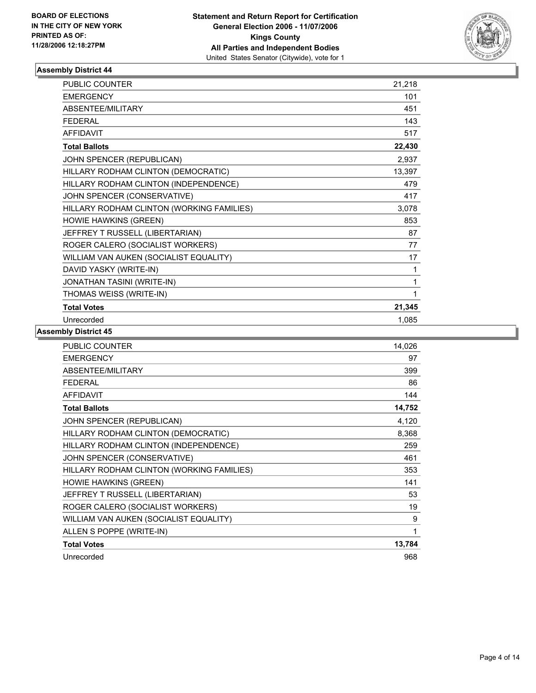

| PUBLIC COUNTER                            | 21,218 |
|-------------------------------------------|--------|
| <b>EMERGENCY</b>                          | 101    |
| ABSENTEE/MILITARY                         | 451    |
| <b>FEDERAL</b>                            | 143    |
| <b>AFFIDAVIT</b>                          | 517    |
| <b>Total Ballots</b>                      | 22,430 |
| JOHN SPENCER (REPUBLICAN)                 | 2,937  |
| HILLARY RODHAM CLINTON (DEMOCRATIC)       | 13,397 |
| HILLARY RODHAM CLINTON (INDEPENDENCE)     | 479    |
| JOHN SPENCER (CONSERVATIVE)               | 417    |
| HILLARY RODHAM CLINTON (WORKING FAMILIES) | 3,078  |
| <b>HOWIE HAWKINS (GREEN)</b>              | 853    |
| JEFFREY T RUSSELL (LIBERTARIAN)           | 87     |
| ROGER CALERO (SOCIALIST WORKERS)          | 77     |
| WILLIAM VAN AUKEN (SOCIALIST EQUALITY)    | 17     |
| DAVID YASKY (WRITE-IN)                    | 1      |
| JONATHAN TASINI (WRITE-IN)                |        |
| THOMAS WEISS (WRITE-IN)                   |        |
| <b>Total Votes</b>                        | 21,345 |
| Unrecorded                                | 1,085  |

| <b>PUBLIC COUNTER</b>                     | 14,026 |
|-------------------------------------------|--------|
| <b>EMERGENCY</b>                          | 97     |
| ABSENTEE/MILITARY                         | 399    |
| <b>FEDERAL</b>                            | 86     |
| <b>AFFIDAVIT</b>                          | 144    |
| <b>Total Ballots</b>                      | 14,752 |
| JOHN SPENCER (REPUBLICAN)                 | 4,120  |
| HILLARY RODHAM CLINTON (DEMOCRATIC)       | 8,368  |
| HILLARY RODHAM CLINTON (INDEPENDENCE)     | 259    |
| JOHN SPENCER (CONSERVATIVE)               | 461    |
| HILLARY RODHAM CLINTON (WORKING FAMILIES) | 353    |
| <b>HOWIE HAWKINS (GREEN)</b>              | 141    |
| JEFFREY T RUSSELL (LIBERTARIAN)           | 53     |
| ROGER CALERO (SOCIALIST WORKERS)          | 19     |
| WILLIAM VAN AUKEN (SOCIALIST EQUALITY)    | 9      |
| ALLEN S POPPE (WRITE-IN)                  | 1      |
| <b>Total Votes</b>                        | 13,784 |
| Unrecorded                                | 968    |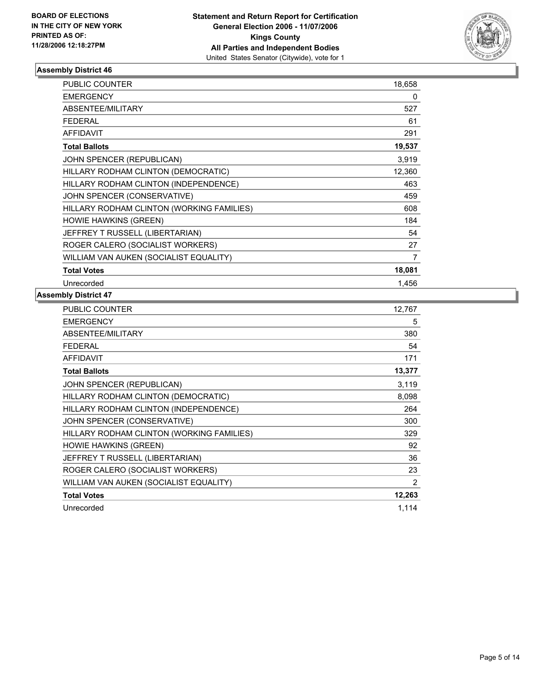

| PUBLIC COUNTER                            | 18,658 |
|-------------------------------------------|--------|
| <b>EMERGENCY</b>                          | 0      |
| <b>ABSENTEE/MILITARY</b>                  | 527    |
| <b>FEDERAL</b>                            | 61     |
| <b>AFFIDAVIT</b>                          | 291    |
| <b>Total Ballots</b>                      | 19,537 |
| JOHN SPENCER (REPUBLICAN)                 | 3,919  |
| HILLARY RODHAM CLINTON (DEMOCRATIC)       | 12,360 |
| HILLARY RODHAM CLINTON (INDEPENDENCE)     | 463    |
| JOHN SPENCER (CONSERVATIVE)               | 459    |
| HILLARY RODHAM CLINTON (WORKING FAMILIES) | 608    |
| <b>HOWIE HAWKINS (GREEN)</b>              | 184    |
| JEFFREY T RUSSELL (LIBERTARIAN)           | 54     |
| ROGER CALERO (SOCIALIST WORKERS)          | 27     |
| WILLIAM VAN AUKEN (SOCIALIST EQUALITY)    | 7      |
| <b>Total Votes</b>                        | 18,081 |
| Unrecorded                                | 1,456  |

| PUBLIC COUNTER                            | 12,767         |
|-------------------------------------------|----------------|
| <b>EMERGENCY</b>                          | 5              |
| ABSENTEE/MILITARY                         | 380            |
| <b>FEDERAL</b>                            | 54             |
| <b>AFFIDAVIT</b>                          | 171            |
| <b>Total Ballots</b>                      | 13,377         |
| JOHN SPENCER (REPUBLICAN)                 | 3,119          |
| HILLARY RODHAM CLINTON (DEMOCRATIC)       | 8,098          |
| HILLARY RODHAM CLINTON (INDEPENDENCE)     | 264            |
| JOHN SPENCER (CONSERVATIVE)               | 300            |
| HILLARY RODHAM CLINTON (WORKING FAMILIES) | 329            |
| <b>HOWIE HAWKINS (GREEN)</b>              | 92             |
| JEFFREY T RUSSELL (LIBERTARIAN)           | 36             |
| ROGER CALERO (SOCIALIST WORKERS)          | 23             |
| WILLIAM VAN AUKEN (SOCIALIST EQUALITY)    | $\overline{2}$ |
| <b>Total Votes</b>                        | 12,263         |
| Unrecorded                                | 1,114          |
|                                           |                |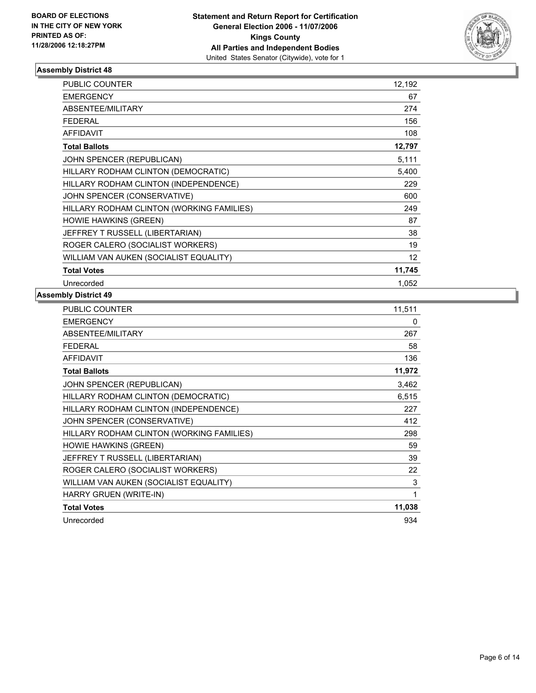

| PUBLIC COUNTER                            | 12,192            |
|-------------------------------------------|-------------------|
| <b>EMERGENCY</b>                          | 67                |
| ABSENTEE/MILITARY                         | 274               |
| <b>FEDERAL</b>                            | 156               |
| <b>AFFIDAVIT</b>                          | 108               |
| <b>Total Ballots</b>                      | 12,797            |
| JOHN SPENCER (REPUBLICAN)                 | 5,111             |
| HILLARY RODHAM CLINTON (DEMOCRATIC)       | 5,400             |
| HILLARY RODHAM CLINTON (INDEPENDENCE)     | 229               |
| JOHN SPENCER (CONSERVATIVE)               | 600               |
| HILLARY RODHAM CLINTON (WORKING FAMILIES) | 249               |
| <b>HOWIE HAWKINS (GREEN)</b>              | 87                |
| JEFFREY T RUSSELL (LIBERTARIAN)           | 38                |
| ROGER CALERO (SOCIALIST WORKERS)          | 19                |
| WILLIAM VAN AUKEN (SOCIALIST EQUALITY)    | $12 \overline{ }$ |
| <b>Total Votes</b>                        | 11,745            |
| Unrecorded                                | 1,052             |

| PUBLIC COUNTER                            | 11,511 |
|-------------------------------------------|--------|
| <b>EMERGENCY</b>                          | 0      |
| ABSENTEE/MILITARY                         | 267    |
| <b>FEDERAL</b>                            | 58     |
| <b>AFFIDAVIT</b>                          | 136    |
| <b>Total Ballots</b>                      | 11,972 |
| JOHN SPENCER (REPUBLICAN)                 | 3,462  |
| HILLARY RODHAM CLINTON (DEMOCRATIC)       | 6,515  |
| HILLARY RODHAM CLINTON (INDEPENDENCE)     | 227    |
| JOHN SPENCER (CONSERVATIVE)               | 412    |
| HILLARY RODHAM CLINTON (WORKING FAMILIES) | 298    |
| <b>HOWIE HAWKINS (GREEN)</b>              | 59     |
| JEFFREY T RUSSELL (LIBERTARIAN)           | 39     |
| ROGER CALERO (SOCIALIST WORKERS)          | 22     |
| WILLIAM VAN AUKEN (SOCIALIST EQUALITY)    | 3      |
| HARRY GRUEN (WRITE-IN)                    | 1      |
| <b>Total Votes</b>                        | 11,038 |
| Unrecorded                                | 934    |
|                                           |        |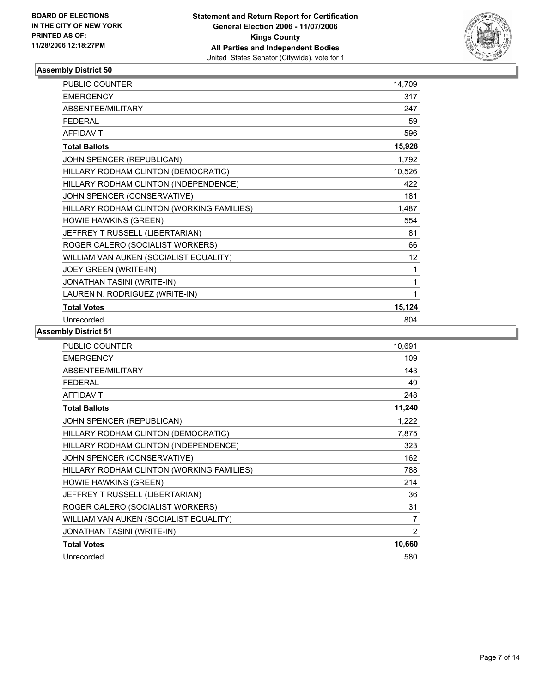

| <b>PUBLIC COUNTER</b>                     | 14,709 |
|-------------------------------------------|--------|
| <b>EMERGENCY</b>                          | 317    |
| ABSENTEE/MILITARY                         | 247    |
| <b>FEDERAL</b>                            | 59     |
| <b>AFFIDAVIT</b>                          | 596    |
| <b>Total Ballots</b>                      | 15,928 |
| JOHN SPENCER (REPUBLICAN)                 | 1,792  |
| HILLARY RODHAM CLINTON (DEMOCRATIC)       | 10,526 |
| HILLARY RODHAM CLINTON (INDEPENDENCE)     | 422    |
| JOHN SPENCER (CONSERVATIVE)               | 181    |
| HILLARY RODHAM CLINTON (WORKING FAMILIES) | 1,487  |
| <b>HOWIE HAWKINS (GREEN)</b>              | 554    |
| JEFFREY T RUSSELL (LIBERTARIAN)           | 81     |
| ROGER CALERO (SOCIALIST WORKERS)          | 66     |
| WILLIAM VAN AUKEN (SOCIALIST EQUALITY)    | 12     |
| JOEY GREEN (WRITE-IN)                     | 1      |
| JONATHAN TASINI (WRITE-IN)                | 1      |
| LAUREN N. RODRIGUEZ (WRITE-IN)            | 1      |
| <b>Total Votes</b>                        | 15,124 |
| Unrecorded                                | 804    |

| PUBLIC COUNTER                            | 10,691         |
|-------------------------------------------|----------------|
| <b>EMERGENCY</b>                          | 109            |
| ABSENTEE/MILITARY                         | 143            |
| <b>FEDERAL</b>                            | 49             |
| <b>AFFIDAVIT</b>                          | 248            |
| <b>Total Ballots</b>                      | 11,240         |
| JOHN SPENCER (REPUBLICAN)                 | 1,222          |
| HILLARY RODHAM CLINTON (DEMOCRATIC)       | 7,875          |
| HILLARY RODHAM CLINTON (INDEPENDENCE)     | 323            |
| JOHN SPENCER (CONSERVATIVE)               | 162            |
| HILLARY RODHAM CLINTON (WORKING FAMILIES) | 788            |
| <b>HOWIE HAWKINS (GREEN)</b>              | 214            |
| JEFFREY T RUSSELL (LIBERTARIAN)           | 36             |
| ROGER CALERO (SOCIALIST WORKERS)          | 31             |
| WILLIAM VAN AUKEN (SOCIALIST EQUALITY)    | $\overline{7}$ |
| JONATHAN TASINI (WRITE-IN)                | 2              |
| <b>Total Votes</b>                        | 10,660         |
| Unrecorded                                | 580            |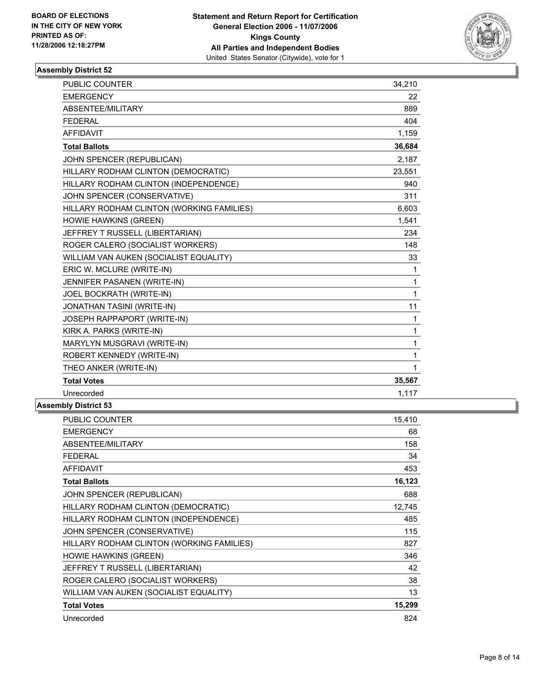

| PUBLIC COUNTER                            | 34,210 |
|-------------------------------------------|--------|
| <b>EMERGENCY</b>                          | 22     |
| ABSENTEE/MILITARY                         | 889    |
| <b>FEDERAL</b>                            | 404    |
| <b>AFFIDAVIT</b>                          | 1,159  |
| <b>Total Ballots</b>                      | 36,684 |
| JOHN SPENCER (REPUBLICAN)                 | 2,187  |
| HILLARY RODHAM CLINTON (DEMOCRATIC)       | 23,551 |
| HILLARY RODHAM CLINTON (INDEPENDENCE)     | 940    |
| JOHN SPENCER (CONSERVATIVE)               | 311    |
| HILLARY RODHAM CLINTON (WORKING FAMILIES) | 6,603  |
| HOWIE HAWKINS (GREEN)                     | 1,541  |
| JEFFREY T RUSSELL (LIBERTARIAN)           | 234    |
| ROGER CALERO (SOCIALIST WORKERS)          | 148    |
| WILLIAM VAN AUKEN (SOCIALIST EQUALITY)    | 33     |
| ERIC W. MCLURE (WRITE-IN)                 | 1      |
| JENNIFER PASANEN (WRITE-IN)               | 1      |
| JOEL BOCKRATH (WRITE-IN)                  | 1      |
| <b>JONATHAN TASINI (WRITE-IN)</b>         | 11     |
| JOSEPH RAPPAPORT (WRITE-IN)               | 1      |
| KIRK A. PARKS (WRITE-IN)                  | 1      |
| MARYLYN MUSGRAVI (WRITE-IN)               | 1      |
| ROBERT KENNEDY (WRITE-IN)                 | 1      |
| THEO ANKER (WRITE-IN)                     | 1      |
| <b>Total Votes</b>                        | 35,567 |
| Unrecorded                                | 1,117  |

| <b>PUBLIC COUNTER</b>                     | 15,410 |
|-------------------------------------------|--------|
| <b>EMERGENCY</b>                          | 68     |
| ABSENTEE/MILITARY                         | 158    |
| <b>FEDERAL</b>                            | 34     |
| <b>AFFIDAVIT</b>                          | 453    |
| <b>Total Ballots</b>                      | 16,123 |
| JOHN SPENCER (REPUBLICAN)                 | 688    |
| HILLARY RODHAM CLINTON (DEMOCRATIC)       | 12,745 |
| HILLARY RODHAM CLINTON (INDEPENDENCE)     | 485    |
| JOHN SPENCER (CONSERVATIVE)               | 115    |
| HILLARY RODHAM CLINTON (WORKING FAMILIES) | 827    |
| <b>HOWIE HAWKINS (GREEN)</b>              | 346    |
| JEFFREY T RUSSELL (LIBERTARIAN)           | 42     |
| ROGER CALERO (SOCIALIST WORKERS)          | 38     |
| WILLIAM VAN AUKEN (SOCIALIST EQUALITY)    | 13     |
| <b>Total Votes</b>                        | 15,299 |
| Unrecorded                                | 824    |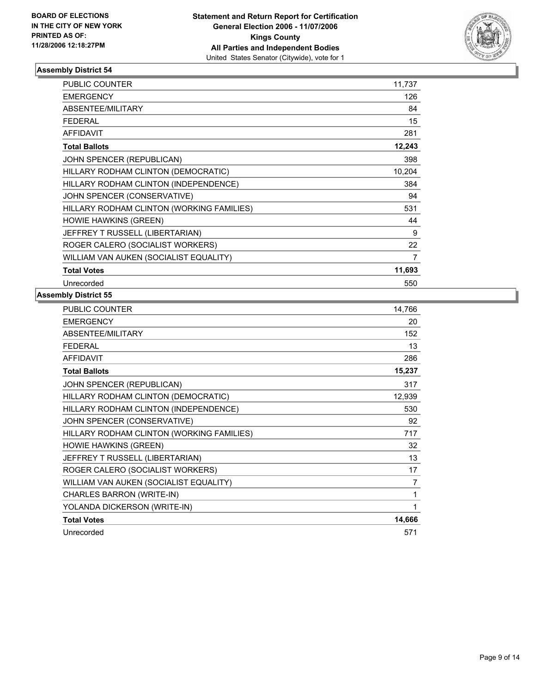

| PUBLIC COUNTER                            | 11,737 |
|-------------------------------------------|--------|
| <b>EMERGENCY</b>                          | 126    |
| <b>ABSENTEE/MILITARY</b>                  | 84     |
| <b>FEDERAL</b>                            | 15     |
| <b>AFFIDAVIT</b>                          | 281    |
| <b>Total Ballots</b>                      | 12,243 |
| JOHN SPENCER (REPUBLICAN)                 | 398    |
| HILLARY RODHAM CLINTON (DEMOCRATIC)       | 10,204 |
| HILLARY RODHAM CLINTON (INDEPENDENCE)     | 384    |
| JOHN SPENCER (CONSERVATIVE)               | 94     |
| HILLARY RODHAM CLINTON (WORKING FAMILIES) | 531    |
| <b>HOWIE HAWKINS (GREEN)</b>              | 44     |
| JEFFREY T RUSSELL (LIBERTARIAN)           | 9      |
| ROGER CALERO (SOCIALIST WORKERS)          | 22     |
| WILLIAM VAN AUKEN (SOCIALIST EQUALITY)    | 7      |
| <b>Total Votes</b>                        | 11,693 |
| Unrecorded                                | 550    |

| <b>PUBLIC COUNTER</b>                     | 14,766         |
|-------------------------------------------|----------------|
| <b>EMERGENCY</b>                          | 20             |
| ABSENTEE/MILITARY                         | 152            |
| <b>FEDERAL</b>                            | 13             |
| <b>AFFIDAVIT</b>                          | 286            |
| <b>Total Ballots</b>                      | 15,237         |
| JOHN SPENCER (REPUBLICAN)                 | 317            |
| HILLARY RODHAM CLINTON (DEMOCRATIC)       | 12,939         |
| HILLARY RODHAM CLINTON (INDEPENDENCE)     | 530            |
| JOHN SPENCER (CONSERVATIVE)               | 92             |
| HILLARY RODHAM CLINTON (WORKING FAMILIES) | 717            |
| <b>HOWIE HAWKINS (GREEN)</b>              | 32             |
| JEFFREY T RUSSELL (LIBERTARIAN)           | 13             |
| ROGER CALERO (SOCIALIST WORKERS)          | 17             |
| WILLIAM VAN AUKEN (SOCIALIST EQUALITY)    | $\overline{7}$ |
| CHARLES BARRON (WRITE-IN)                 | 1              |
| YOLANDA DICKERSON (WRITE-IN)              |                |
| <b>Total Votes</b>                        | 14,666         |
| Unrecorded                                | 571            |
|                                           |                |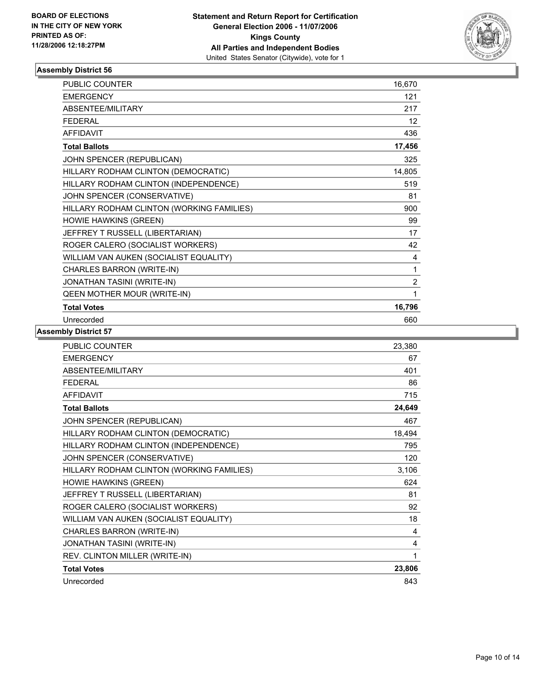

| PUBLIC COUNTER                            | 16,670         |
|-------------------------------------------|----------------|
| <b>EMERGENCY</b>                          | 121            |
| ABSENTEE/MILITARY                         | 217            |
| <b>FEDERAL</b>                            | 12             |
| <b>AFFIDAVIT</b>                          | 436            |
| <b>Total Ballots</b>                      | 17,456         |
| JOHN SPENCER (REPUBLICAN)                 | 325            |
| HILLARY RODHAM CLINTON (DEMOCRATIC)       | 14,805         |
| HILLARY RODHAM CLINTON (INDEPENDENCE)     | 519            |
| JOHN SPENCER (CONSERVATIVE)               | 81             |
| HILLARY RODHAM CLINTON (WORKING FAMILIES) | 900            |
| HOWIE HAWKINS (GREEN)                     | 99             |
| JEFFREY T RUSSELL (LIBERTARIAN)           | 17             |
| ROGER CALERO (SOCIALIST WORKERS)          | 42             |
| WILLIAM VAN AUKEN (SOCIALIST EQUALITY)    | 4              |
| CHARLES BARRON (WRITE-IN)                 | 1              |
| JONATHAN TASINI (WRITE-IN)                | $\overline{2}$ |
| QEEN MOTHER MOUR (WRITE-IN)               | 1              |
| <b>Total Votes</b>                        | 16,796         |
| Unrecorded                                | 660            |

| <b>PUBLIC COUNTER</b>                     | 23,380 |
|-------------------------------------------|--------|
| <b>EMERGENCY</b>                          | 67     |
| ABSENTEE/MILITARY                         | 401    |
| <b>FEDERAL</b>                            | 86     |
| <b>AFFIDAVIT</b>                          | 715    |
| <b>Total Ballots</b>                      | 24,649 |
| JOHN SPENCER (REPUBLICAN)                 | 467    |
| HILLARY RODHAM CLINTON (DEMOCRATIC)       | 18,494 |
| HILLARY RODHAM CLINTON (INDEPENDENCE)     | 795    |
| JOHN SPENCER (CONSERVATIVE)               | 120    |
| HILLARY RODHAM CLINTON (WORKING FAMILIES) | 3,106  |
| <b>HOWIE HAWKINS (GREEN)</b>              | 624    |
| JEFFREY T RUSSELL (LIBERTARIAN)           | 81     |
| ROGER CALERO (SOCIALIST WORKERS)          | 92     |
| WILLIAM VAN AUKEN (SOCIALIST EQUALITY)    | 18     |
| CHARLES BARRON (WRITE-IN)                 | 4      |
| JONATHAN TASINI (WRITE-IN)                | 4      |
| REV. CLINTON MILLER (WRITE-IN)            |        |
| <b>Total Votes</b>                        | 23,806 |
| Unrecorded                                | 843    |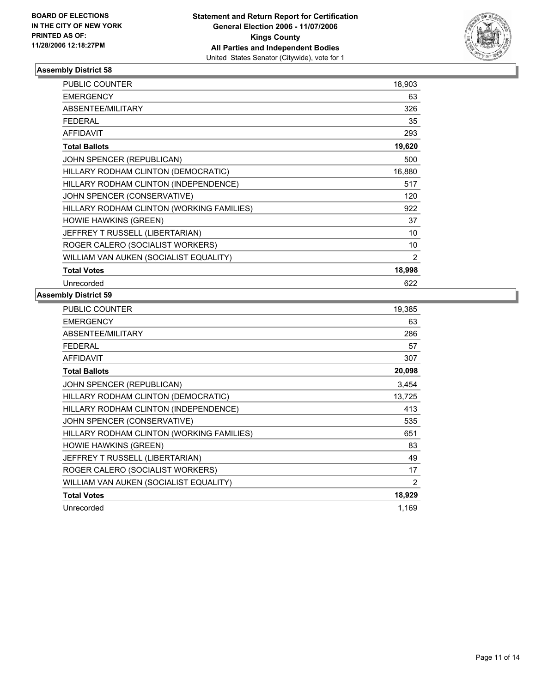

| PUBLIC COUNTER                            | 18,903 |
|-------------------------------------------|--------|
| <b>EMERGENCY</b>                          | 63     |
| <b>ABSENTEE/MILITARY</b>                  | 326    |
| <b>FEDERAL</b>                            | 35     |
| <b>AFFIDAVIT</b>                          | 293    |
| <b>Total Ballots</b>                      | 19,620 |
| JOHN SPENCER (REPUBLICAN)                 | 500    |
| HILLARY RODHAM CLINTON (DEMOCRATIC)       | 16,880 |
| HILLARY RODHAM CLINTON (INDEPENDENCE)     | 517    |
| JOHN SPENCER (CONSERVATIVE)               | 120    |
| HILLARY RODHAM CLINTON (WORKING FAMILIES) | 922    |
| <b>HOWIE HAWKINS (GREEN)</b>              | 37     |
| JEFFREY T RUSSELL (LIBERTARIAN)           | 10     |
| ROGER CALERO (SOCIALIST WORKERS)          | 10     |
| WILLIAM VAN AUKEN (SOCIALIST EQUALITY)    | 2      |
| <b>Total Votes</b>                        | 18,998 |
| Unrecorded                                | 622    |

| PUBLIC COUNTER                            | 19,385         |
|-------------------------------------------|----------------|
| <b>EMERGENCY</b>                          | 63             |
| ABSENTEE/MILITARY                         | 286            |
| <b>FEDERAL</b>                            | 57             |
| <b>AFFIDAVIT</b>                          | 307            |
| <b>Total Ballots</b>                      | 20,098         |
| JOHN SPENCER (REPUBLICAN)                 | 3,454          |
| HILLARY RODHAM CLINTON (DEMOCRATIC)       | 13,725         |
| HILLARY RODHAM CLINTON (INDEPENDENCE)     | 413            |
| JOHN SPENCER (CONSERVATIVE)               | 535            |
| HILLARY RODHAM CLINTON (WORKING FAMILIES) | 651            |
| <b>HOWIE HAWKINS (GREEN)</b>              | 83             |
| JEFFREY T RUSSELL (LIBERTARIAN)           | 49             |
| ROGER CALERO (SOCIALIST WORKERS)          | 17             |
| WILLIAM VAN AUKEN (SOCIALIST EQUALITY)    | $\overline{2}$ |
| <b>Total Votes</b>                        | 18,929         |
| Unrecorded                                | 1,169          |
|                                           |                |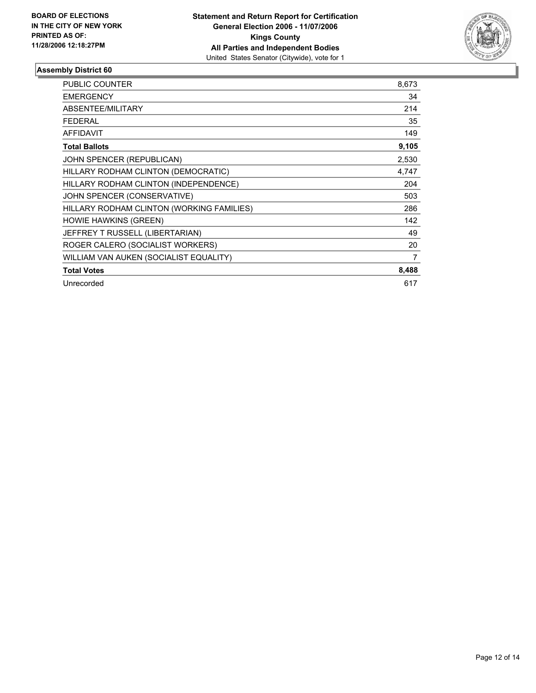

| <b>PUBLIC COUNTER</b>                     | 8,673 |
|-------------------------------------------|-------|
| <b>EMERGENCY</b>                          | 34    |
| ABSENTEE/MILITARY                         | 214   |
| <b>FEDERAL</b>                            | 35    |
| <b>AFFIDAVIT</b>                          | 149   |
| <b>Total Ballots</b>                      | 9,105 |
| JOHN SPENCER (REPUBLICAN)                 | 2,530 |
| HILLARY RODHAM CLINTON (DEMOCRATIC)       | 4,747 |
| HILLARY RODHAM CLINTON (INDEPENDENCE)     | 204   |
| JOHN SPENCER (CONSERVATIVE)               | 503   |
| HILLARY RODHAM CLINTON (WORKING FAMILIES) | 286   |
| <b>HOWIE HAWKINS (GREEN)</b>              | 142   |
| JEFFREY T RUSSELL (LIBERTARIAN)           | 49    |
| ROGER CALERO (SOCIALIST WORKERS)          | 20    |
| WILLIAM VAN AUKEN (SOCIALIST EQUALITY)    | 7     |
| <b>Total Votes</b>                        | 8,488 |
| Unrecorded                                | 617   |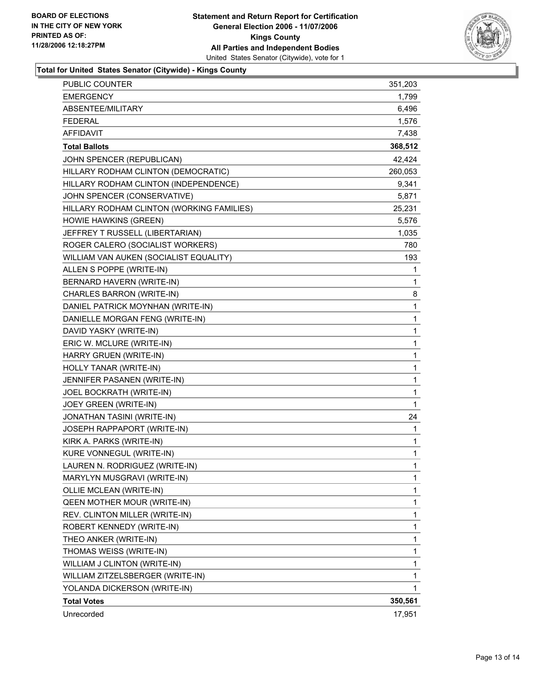

# **Total for United States Senator (Citywide) - Kings County**

| Unrecorded                                                               | 17,951          |
|--------------------------------------------------------------------------|-----------------|
| <b>Total Votes</b>                                                       | 350,561         |
| YOLANDA DICKERSON (WRITE-IN)                                             | 1               |
| WILLIAM ZITZELSBERGER (WRITE-IN)                                         | 1               |
| WILLIAM J CLINTON (WRITE-IN)                                             | 1               |
| THOMAS WEISS (WRITE-IN)                                                  | 1               |
| THEO ANKER (WRITE-IN)                                                    | 1               |
| ROBERT KENNEDY (WRITE-IN)                                                | 1               |
| REV. CLINTON MILLER (WRITE-IN)                                           | 1               |
| QEEN MOTHER MOUR (WRITE-IN)                                              | 1               |
| OLLIE MCLEAN (WRITE-IN)                                                  | 1<br>1          |
| MARYLYN MUSGRAVI (WRITE-IN)                                              |                 |
| LAUREN N. RODRIGUEZ (WRITE-IN)                                           | 1               |
| KURE VONNEGUL (WRITE-IN)                                                 | 1               |
| KIRK A. PARKS (WRITE-IN)                                                 | 1               |
| JOSEPH RAPPAPORT (WRITE-IN)                                              | 1               |
| JOEY GREEN (WRITE-IN)<br>JONATHAN TASINI (WRITE-IN)                      | 24              |
| JOEL BOCKRATH (WRITE-IN)                                                 | 1<br>1          |
| JENNIFER PASANEN (WRITE-IN)                                              | 1               |
| HOLLY TANAR (WRITE-IN)                                                   | 1               |
| HARRY GRUEN (WRITE-IN)                                                   | 1               |
| ERIC W. MCLURE (WRITE-IN)                                                | 1               |
| DAVID YASKY (WRITE-IN)                                                   |                 |
| DANIELLE MORGAN FENG (WRITE-IN)                                          | 1               |
|                                                                          | 1<br>1          |
| DANIEL PATRICK MOYNHAN (WRITE-IN)                                        |                 |
| BERNARD HAVERN (WRITE-IN)<br>CHARLES BARRON (WRITE-IN)                   | 8               |
|                                                                          | 1               |
| ALLEN S POPPE (WRITE-IN)                                                 | 1               |
| WILLIAM VAN AUKEN (SOCIALIST EQUALITY)                                   | 193             |
| ROGER CALERO (SOCIALIST WORKERS)                                         | 780             |
| JEFFREY T RUSSELL (LIBERTARIAN)                                          | 1,035           |
| HOWIE HAWKINS (GREEN)                                                    | 5,576           |
| JOHN SPENCER (CONSERVATIVE)<br>HILLARY RODHAM CLINTON (WORKING FAMILIES) | 5,871<br>25,231 |
| HILLARY RODHAM CLINTON (INDEPENDENCE)                                    | 9,341           |
| HILLARY RODHAM CLINTON (DEMOCRATIC)                                      | 260,053         |
| JOHN SPENCER (REPUBLICAN)                                                | 42,424          |
| <b>Total Ballots</b>                                                     | 368,512         |
| <b>AFFIDAVIT</b>                                                         | 7,438           |
| <b>FEDERAL</b>                                                           | 1,576           |
| ABSENTEE/MILITARY                                                        | 6,496           |
| <b>EMERGENCY</b>                                                         | 1,799           |
| PUBLIC COUNTER                                                           | 351,203         |
|                                                                          |                 |